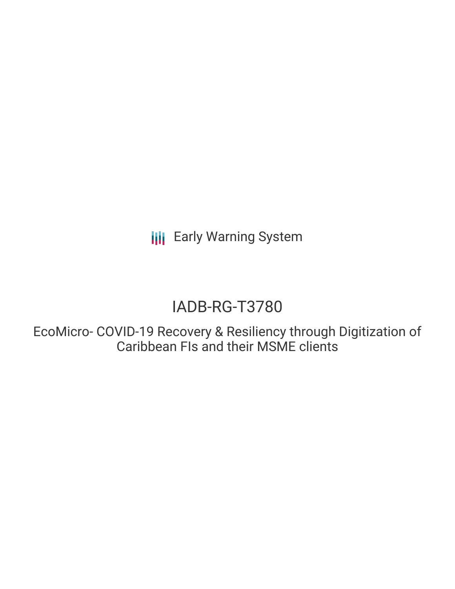**III** Early Warning System

# IADB-RG-T3780

EcoMicro- COVID-19 Recovery & Resiliency through Digitization of Caribbean FIs and their MSME clients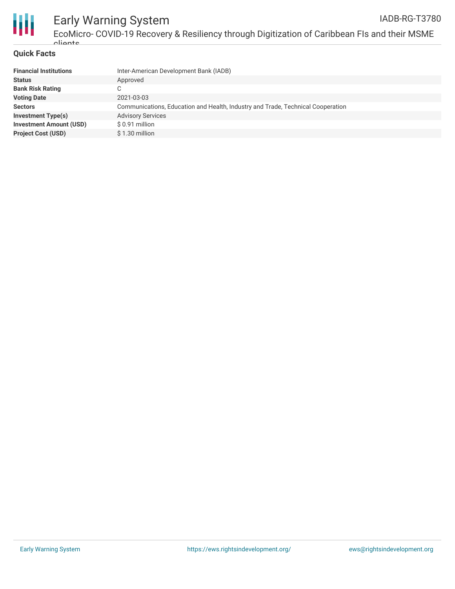

### **Quick Facts**

cliante

| Inter-American Development Bank (IADB)                                          |
|---------------------------------------------------------------------------------|
| Approved                                                                        |
| U                                                                               |
| 2021-03-03                                                                      |
| Communications, Education and Health, Industry and Trade, Technical Cooperation |
| <b>Advisory Services</b>                                                        |
| \$0.91 million                                                                  |
| \$1.30 million                                                                  |
|                                                                                 |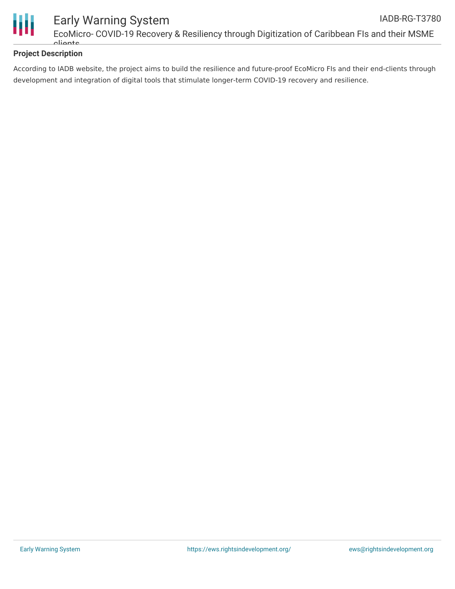

# **Project Description**

According to IADB website, the project aims to build the resilience and future-proof EcoMicro FIs and their end-clients through development and integration of digital tools that stimulate longer-term COVID-19 recovery and resilience.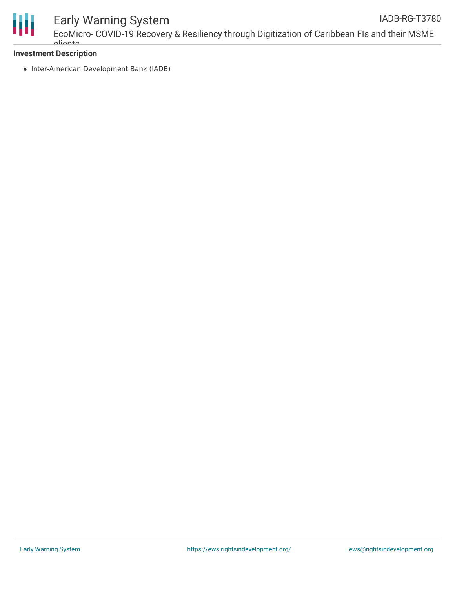

# Early Warning System

EcoMicro- COVID-19 Recovery & Resiliency through Digitization of Caribbean FIs and their MSME **cliante** IADB-RG-T3780

### **Investment Description**

• Inter-American Development Bank (IADB)